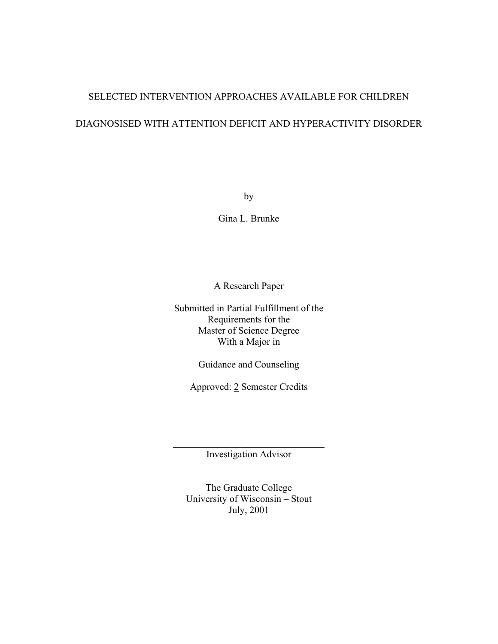# SELECTED INTERVENTION APPROACHES AVAILABLE FOR CHILDREN

# DIAGNOSISED WITH ATTENTION DEFICIT AND HYPERACTIVITY DISORDER

by

Gina L. Brunke

A Research Paper

Submitted in Partial Fulfillment of the Requirements for the Master of Science Degree With a Major in

Guidance and Counseling

Approved: 2 Semester Credits

 $\mathcal{L}_\text{max}$  , where  $\mathcal{L}_\text{max}$  and  $\mathcal{L}_\text{max}$ Investigation Advisor

The Graduate College University of Wisconsin – Stout July, 2001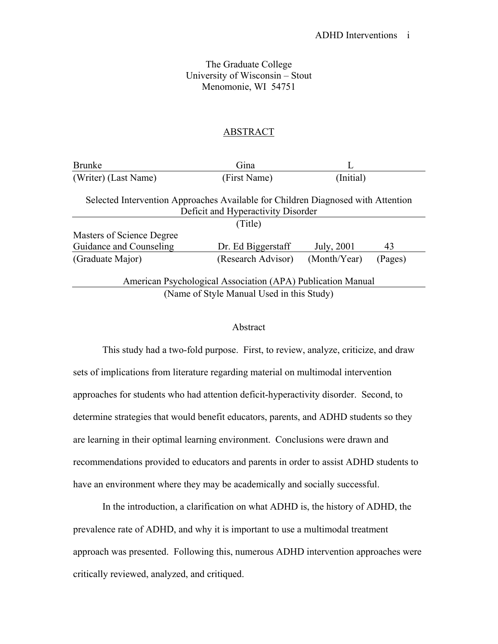# The Graduate College University of Wisconsin – Stout Menomonie, WI 54751

## ABSTRACT

| <b>Brunke</b>                                                                                                          | Gina               |              |         |  |
|------------------------------------------------------------------------------------------------------------------------|--------------------|--------------|---------|--|
| (Writer) (Last Name)                                                                                                   | (First Name)       | (Initial)    |         |  |
| Selected Intervention Approaches Available for Children Diagnosed with Attention<br>Deficit and Hyperactivity Disorder |                    |              |         |  |
| (Title)                                                                                                                |                    |              |         |  |
| Masters of Science Degree                                                                                              |                    |              |         |  |
| Guidance and Counseling                                                                                                | Dr. Ed Biggerstaff | July, 2001   | 43      |  |
| (Graduate Major)                                                                                                       | (Research Advisor) | (Month/Year) | (Pages) |  |
| American Psychological Association (APA) Publication Manual                                                            |                    |              |         |  |
| (Name of Style Manual Used in this Study)                                                                              |                    |              |         |  |

# Abstract

 This study had a two-fold purpose. First, to review, analyze, criticize, and draw sets of implications from literature regarding material on multimodal intervention approaches for students who had attention deficit-hyperactivity disorder. Second, to determine strategies that would benefit educators, parents, and ADHD students so they are learning in their optimal learning environment. Conclusions were drawn and recommendations provided to educators and parents in order to assist ADHD students to have an environment where they may be academically and socially successful.

 In the introduction, a clarification on what ADHD is, the history of ADHD, the prevalence rate of ADHD, and why it is important to use a multimodal treatment approach was presented. Following this, numerous ADHD intervention approaches were critically reviewed, analyzed, and critiqued.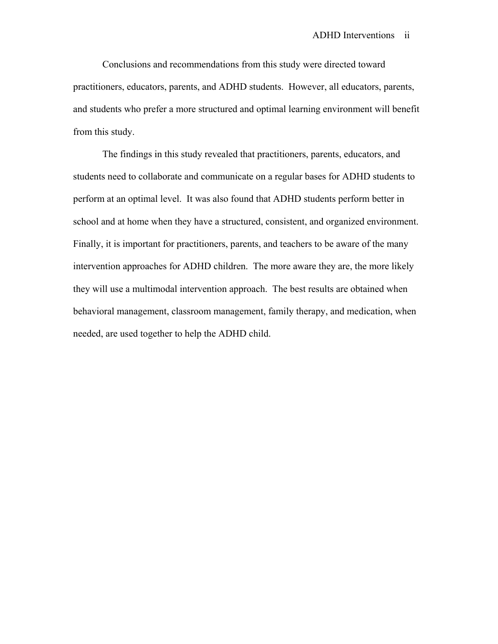Conclusions and recommendations from this study were directed toward practitioners, educators, parents, and ADHD students. However, all educators, parents, and students who prefer a more structured and optimal learning environment will benefit from this study.

 The findings in this study revealed that practitioners, parents, educators, and students need to collaborate and communicate on a regular bases for ADHD students to perform at an optimal level. It was also found that ADHD students perform better in school and at home when they have a structured, consistent, and organized environment. Finally, it is important for practitioners, parents, and teachers to be aware of the many intervention approaches for ADHD children. The more aware they are, the more likely they will use a multimodal intervention approach. The best results are obtained when behavioral management, classroom management, family therapy, and medication, when needed, are used together to help the ADHD child.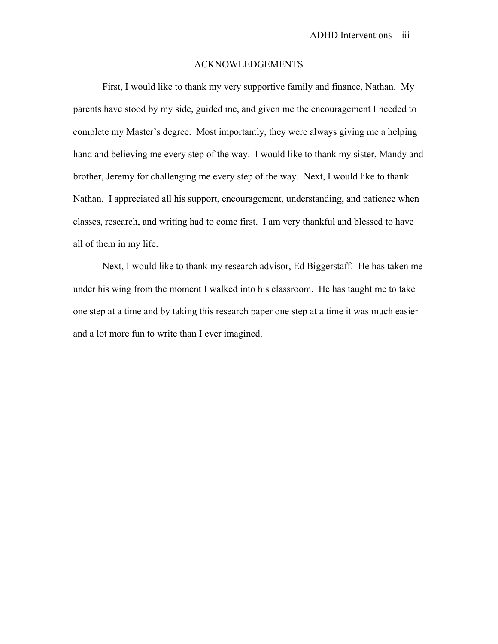## ACKNOWLEDGEMENTS

 First, I would like to thank my very supportive family and finance, Nathan. My parents have stood by my side, guided me, and given me the encouragement I needed to complete my Master's degree. Most importantly, they were always giving me a helping hand and believing me every step of the way. I would like to thank my sister, Mandy and brother, Jeremy for challenging me every step of the way. Next, I would like to thank Nathan. I appreciated all his support, encouragement, understanding, and patience when classes, research, and writing had to come first. I am very thankful and blessed to have all of them in my life.

 Next, I would like to thank my research advisor, Ed Biggerstaff. He has taken me under his wing from the moment I walked into his classroom. He has taught me to take one step at a time and by taking this research paper one step at a time it was much easier and a lot more fun to write than I ever imagined.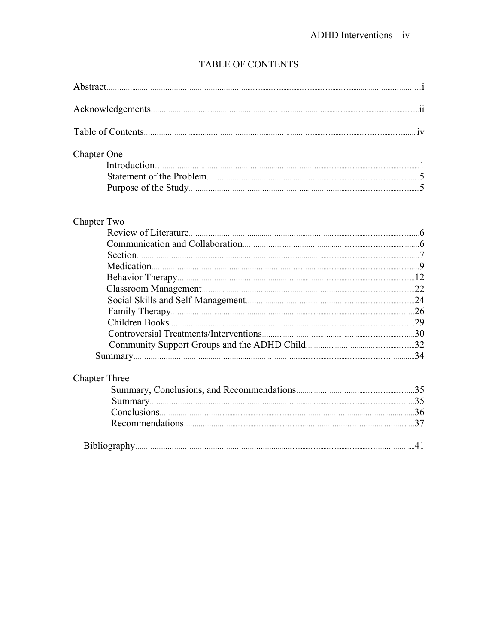# TABLE OF CONTENTS

| Abstract.          |    |
|--------------------|----|
|                    | 11 |
|                    | 1V |
| <b>Chapter One</b> |    |
|                    |    |
| Chapter Two        |    |
|                    | 6  |
|                    |    |

|                      | 29  |
|----------------------|-----|
|                      |     |
|                      |     |
|                      | -34 |
| <b>Chapter Three</b> |     |
|                      | 35  |
|                      | .35 |
|                      | .36 |

| Bibliography. |  |
|---------------|--|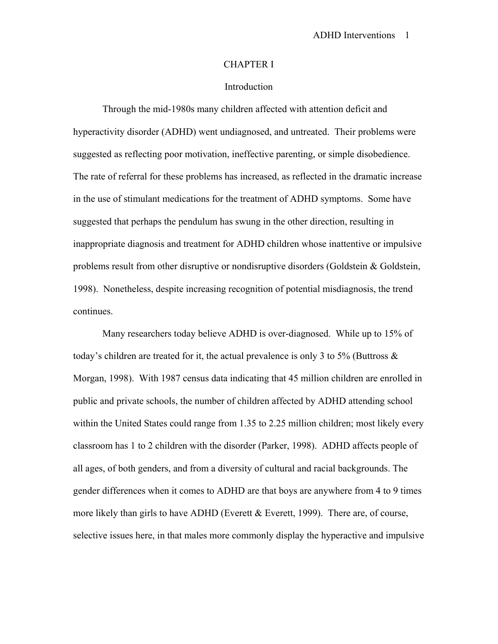#### CHAPTER I

# Introduction

 Through the mid-1980s many children affected with attention deficit and hyperactivity disorder (ADHD) went undiagnosed, and untreated. Their problems were suggested as reflecting poor motivation, ineffective parenting, or simple disobedience. The rate of referral for these problems has increased, as reflected in the dramatic increase in the use of stimulant medications for the treatment of ADHD symptoms. Some have suggested that perhaps the pendulum has swung in the other direction, resulting in inappropriate diagnosis and treatment for ADHD children whose inattentive or impulsive problems result from other disruptive or nondisruptive disorders (Goldstein & Goldstein, 1998). Nonetheless, despite increasing recognition of potential misdiagnosis, the trend continues.

Many researchers today believe ADHD is over-diagnosed. While up to 15% of today's children are treated for it, the actual prevalence is only 3 to 5% (Buttross  $\&$ Morgan, 1998). With 1987 census data indicating that 45 million children are enrolled in public and private schools, the number of children affected by ADHD attending school within the United States could range from 1.35 to 2.25 million children; most likely every classroom has 1 to 2 children with the disorder (Parker, 1998). ADHD affects people of all ages, of both genders, and from a diversity of cultural and racial backgrounds. The gender differences when it comes to ADHD are that boys are anywhere from 4 to 9 times more likely than girls to have ADHD (Everett & Everett, 1999). There are, of course, selective issues here, in that males more commonly display the hyperactive and impulsive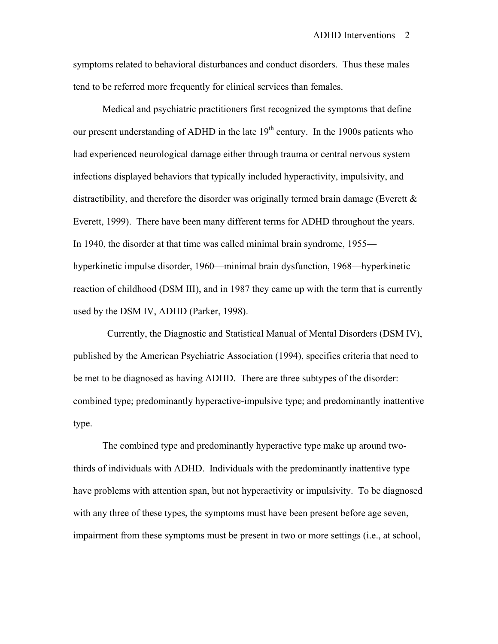symptoms related to behavioral disturbances and conduct disorders. Thus these males tend to be referred more frequently for clinical services than females.

 Medical and psychiatric practitioners first recognized the symptoms that define our present understanding of ADHD in the late  $19<sup>th</sup>$  century. In the 1900s patients who had experienced neurological damage either through trauma or central nervous system infections displayed behaviors that typically included hyperactivity, impulsivity, and distractibility, and therefore the disorder was originally termed brain damage (Everett  $\&$ Everett, 1999). There have been many different terms for ADHD throughout the years. In 1940, the disorder at that time was called minimal brain syndrome, 1955 hyperkinetic impulse disorder, 1960—minimal brain dysfunction, 1968—hyperkinetic reaction of childhood (DSM III), and in 1987 they came up with the term that is currently used by the DSM IV, ADHD (Parker, 1998).

 Currently, the Diagnostic and Statistical Manual of Mental Disorders (DSM IV), published by the American Psychiatric Association (1994), specifies criteria that need to be met to be diagnosed as having ADHD. There are three subtypes of the disorder: combined type; predominantly hyperactive-impulsive type; and predominantly inattentive type.

 The combined type and predominantly hyperactive type make up around twothirds of individuals with ADHD. Individuals with the predominantly inattentive type have problems with attention span, but not hyperactivity or impulsivity. To be diagnosed with any three of these types, the symptoms must have been present before age seven, impairment from these symptoms must be present in two or more settings (i.e., at school,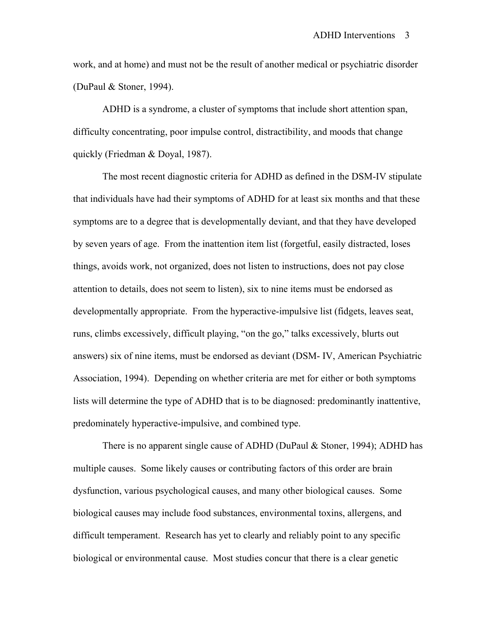work, and at home) and must not be the result of another medical or psychiatric disorder (DuPaul & Stoner, 1994).

 ADHD is a syndrome, a cluster of symptoms that include short attention span, difficulty concentrating, poor impulse control, distractibility, and moods that change quickly (Friedman & Doyal, 1987).

The most recent diagnostic criteria for ADHD as defined in the DSM-IV stipulate that individuals have had their symptoms of ADHD for at least six months and that these symptoms are to a degree that is developmentally deviant, and that they have developed by seven years of age. From the inattention item list (forgetful, easily distracted, loses things, avoids work, not organized, does not listen to instructions, does not pay close attention to details, does not seem to listen), six to nine items must be endorsed as developmentally appropriate. From the hyperactive-impulsive list (fidgets, leaves seat, runs, climbs excessively, difficult playing, "on the go," talks excessively, blurts out answers) six of nine items, must be endorsed as deviant (DSM- IV, American Psychiatric Association, 1994). Depending on whether criteria are met for either or both symptoms lists will determine the type of ADHD that is to be diagnosed: predominantly inattentive, predominately hyperactive-impulsive, and combined type.

There is no apparent single cause of ADHD (DuPaul & Stoner, 1994); ADHD has multiple causes. Some likely causes or contributing factors of this order are brain dysfunction, various psychological causes, and many other biological causes. Some biological causes may include food substances, environmental toxins, allergens, and difficult temperament. Research has yet to clearly and reliably point to any specific biological or environmental cause. Most studies concur that there is a clear genetic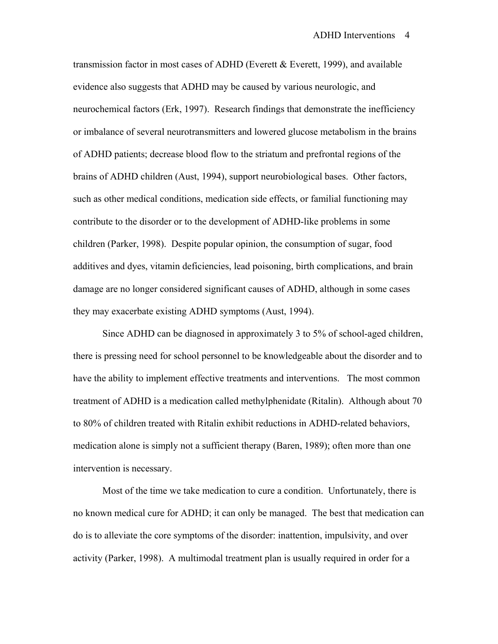transmission factor in most cases of ADHD (Everett  $\&$  Everett, 1999), and available evidence also suggests that ADHD may be caused by various neurologic, and neurochemical factors (Erk, 1997). Research findings that demonstrate the inefficiency or imbalance of several neurotransmitters and lowered glucose metabolism in the brains of ADHD patients; decrease blood flow to the striatum and prefrontal regions of the brains of ADHD children (Aust, 1994), support neurobiological bases. Other factors, such as other medical conditions, medication side effects, or familial functioning may contribute to the disorder or to the development of ADHD-like problems in some children (Parker, 1998). Despite popular opinion, the consumption of sugar, food additives and dyes, vitamin deficiencies, lead poisoning, birth complications, and brain damage are no longer considered significant causes of ADHD, although in some cases they may exacerbate existing ADHD symptoms (Aust, 1994).

 Since ADHD can be diagnosed in approximately 3 to 5% of school-aged children, there is pressing need for school personnel to be knowledgeable about the disorder and to have the ability to implement effective treatments and interventions. The most common treatment of ADHD is a medication called methylphenidate (Ritalin). Although about 70 to 80% of children treated with Ritalin exhibit reductions in ADHD-related behaviors, medication alone is simply not a sufficient therapy (Baren, 1989); often more than one intervention is necessary.

 Most of the time we take medication to cure a condition. Unfortunately, there is no known medical cure for ADHD; it can only be managed. The best that medication can do is to alleviate the core symptoms of the disorder: inattention, impulsivity, and over activity (Parker, 1998). A multimodal treatment plan is usually required in order for a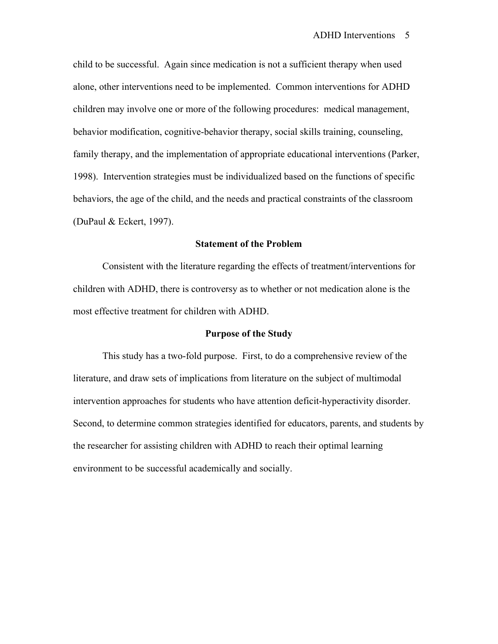child to be successful. Again since medication is not a sufficient therapy when used alone, other interventions need to be implemented. Common interventions for ADHD children may involve one or more of the following procedures: medical management, behavior modification, cognitive-behavior therapy, social skills training, counseling, family therapy, and the implementation of appropriate educational interventions (Parker, 1998). Intervention strategies must be individualized based on the functions of specific behaviors, the age of the child, and the needs and practical constraints of the classroom (DuPaul & Eckert, 1997).

# **Statement of the Problem**

 Consistent with the literature regarding the effects of treatment/interventions for children with ADHD, there is controversy as to whether or not medication alone is the most effective treatment for children with ADHD.

#### **Purpose of the Study**

 This study has a two-fold purpose. First, to do a comprehensive review of the literature, and draw sets of implications from literature on the subject of multimodal intervention approaches for students who have attention deficit-hyperactivity disorder. Second, to determine common strategies identified for educators, parents, and students by the researcher for assisting children with ADHD to reach their optimal learning environment to be successful academically and socially.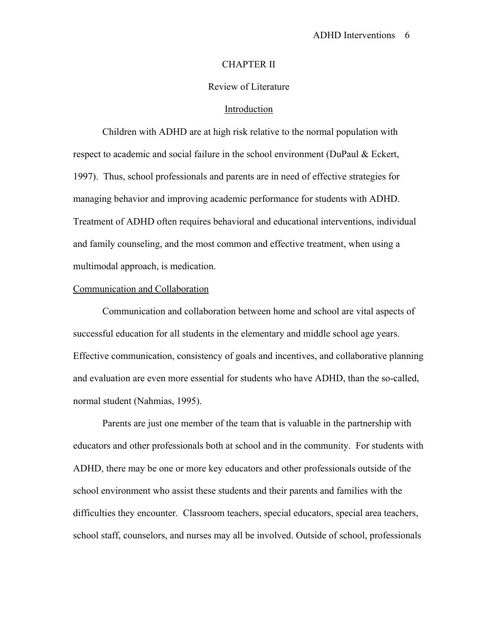#### CHAPTER II

# Review of Literature

## Introduction

 Children with ADHD are at high risk relative to the normal population with respect to academic and social failure in the school environment (DuPaul & Eckert, 1997). Thus, school professionals and parents are in need of effective strategies for managing behavior and improving academic performance for students with ADHD. Treatment of ADHD often requires behavioral and educational interventions, individual and family counseling, and the most common and effective treatment, when using a multimodal approach, is medication.

#### Communication and Collaboration

 Communication and collaboration between home and school are vital aspects of successful education for all students in the elementary and middle school age years. Effective communication, consistency of goals and incentives, and collaborative planning and evaluation are even more essential for students who have ADHD, than the so-called, normal student (Nahmias, 1995).

 Parents are just one member of the team that is valuable in the partnership with educators and other professionals both at school and in the community. For students with ADHD, there may be one or more key educators and other professionals outside of the school environment who assist these students and their parents and families with the difficulties they encounter. Classroom teachers, special educators, special area teachers, school staff, counselors, and nurses may all be involved. Outside of school, professionals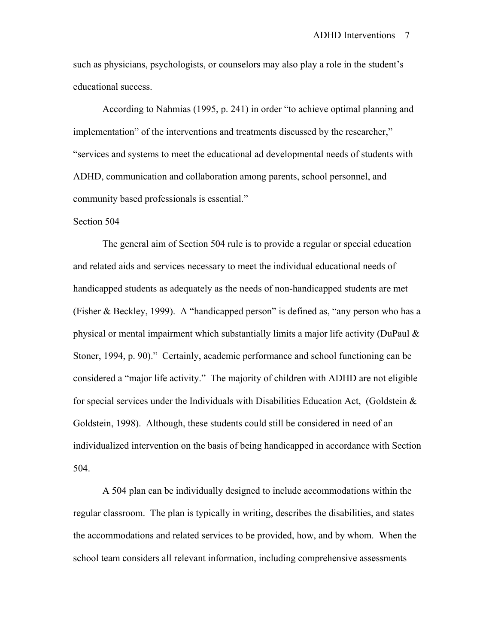such as physicians, psychologists, or counselors may also play a role in the student's educational success.

According to Nahmias (1995, p. 241) in order "to achieve optimal planning and implementation" of the interventions and treatments discussed by the researcher," "services and systems to meet the educational ad developmental needs of students with ADHD, communication and collaboration among parents, school personnel, and community based professionals is essential."

#### Section 504

 The general aim of Section 504 rule is to provide a regular or special education and related aids and services necessary to meet the individual educational needs of handicapped students as adequately as the needs of non-handicapped students are met (Fisher & Beckley, 1999). A "handicapped person" is defined as, "any person who has a physical or mental impairment which substantially limits a major life activity (DuPaul & Stoner, 1994, p. 90)." Certainly, academic performance and school functioning can be considered a "major life activity." The majority of children with ADHD are not eligible for special services under the Individuals with Disabilities Education Act, (Goldstein  $\&$ Goldstein, 1998). Although, these students could still be considered in need of an individualized intervention on the basis of being handicapped in accordance with Section 504.

 A 504 plan can be individually designed to include accommodations within the regular classroom. The plan is typically in writing, describes the disabilities, and states the accommodations and related services to be provided, how, and by whom. When the school team considers all relevant information, including comprehensive assessments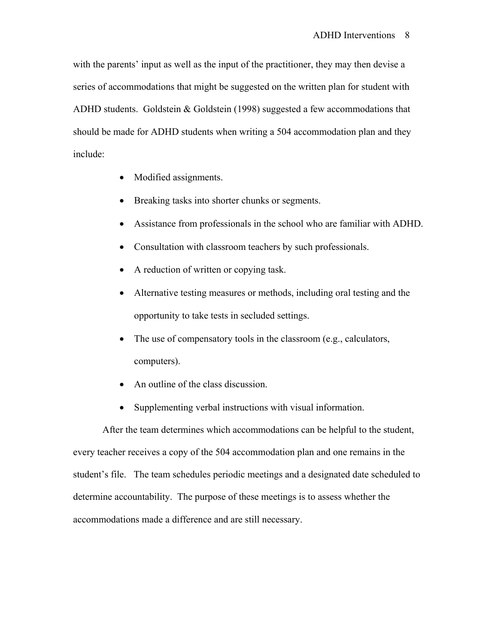with the parents' input as well as the input of the practitioner, they may then devise a series of accommodations that might be suggested on the written plan for student with ADHD students. Goldstein & Goldstein (1998) suggested a few accommodations that should be made for ADHD students when writing a 504 accommodation plan and they include:

- Modified assignments.
- Breaking tasks into shorter chunks or segments.
- Assistance from professionals in the school who are familiar with ADHD.
- Consultation with classroom teachers by such professionals.
- A reduction of written or copying task.
- Alternative testing measures or methods, including oral testing and the opportunity to take tests in secluded settings.
- The use of compensatory tools in the classroom (e.g., calculators, computers).
- An outline of the class discussion.
- Supplementing verbal instructions with visual information.

After the team determines which accommodations can be helpful to the student, every teacher receives a copy of the 504 accommodation plan and one remains in the student's file. The team schedules periodic meetings and a designated date scheduled to determine accountability. The purpose of these meetings is to assess whether the accommodations made a difference and are still necessary.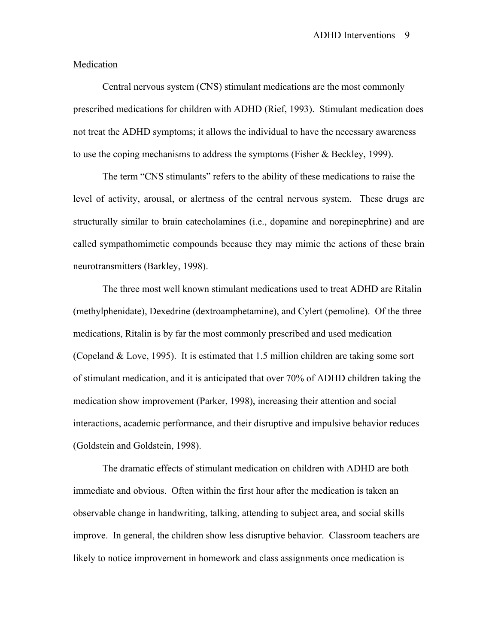## **Medication**

 Central nervous system (CNS) stimulant medications are the most commonly prescribed medications for children with ADHD (Rief, 1993). Stimulant medication does not treat the ADHD symptoms; it allows the individual to have the necessary awareness to use the coping mechanisms to address the symptoms (Fisher & Beckley, 1999).

The term "CNS stimulants" refers to the ability of these medications to raise the level of activity, arousal, or alertness of the central nervous system. These drugs are structurally similar to brain catecholamines (i.e., dopamine and norepinephrine) and are called sympathomimetic compounds because they may mimic the actions of these brain neurotransmitters (Barkley, 1998).

The three most well known stimulant medications used to treat ADHD are Ritalin (methylphenidate), Dexedrine (dextroamphetamine), and Cylert (pemoline). Of the three medications, Ritalin is by far the most commonly prescribed and used medication (Copeland  $& Love, 1995$ ). It is estimated that 1.5 million children are taking some sort of stimulant medication, and it is anticipated that over 70% of ADHD children taking the medication show improvement (Parker, 1998), increasing their attention and social interactions, academic performance, and their disruptive and impulsive behavior reduces (Goldstein and Goldstein, 1998).

 The dramatic effects of stimulant medication on children with ADHD are both immediate and obvious. Often within the first hour after the medication is taken an observable change in handwriting, talking, attending to subject area, and social skills improve. In general, the children show less disruptive behavior. Classroom teachers are likely to notice improvement in homework and class assignments once medication is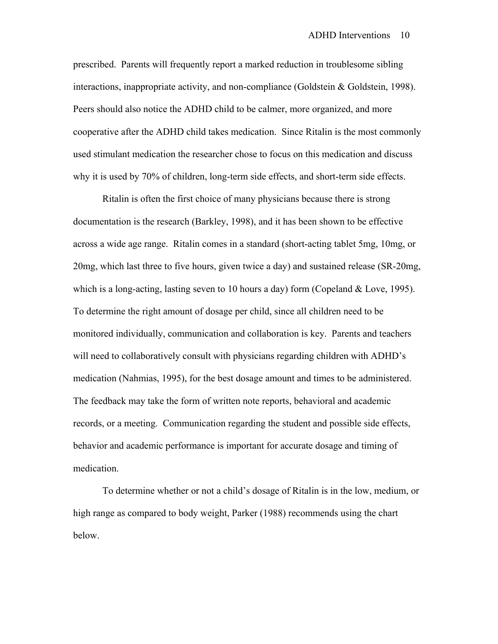prescribed. Parents will frequently report a marked reduction in troublesome sibling interactions, inappropriate activity, and non-compliance (Goldstein & Goldstein, 1998). Peers should also notice the ADHD child to be calmer, more organized, and more cooperative after the ADHD child takes medication. Since Ritalin is the most commonly used stimulant medication the researcher chose to focus on this medication and discuss why it is used by 70% of children, long-term side effects, and short-term side effects.

 Ritalin is often the first choice of many physicians because there is strong documentation is the research (Barkley, 1998), and it has been shown to be effective across a wide age range. Ritalin comes in a standard (short-acting tablet 5mg, 10mg, or 20mg, which last three to five hours, given twice a day) and sustained release (SR-20mg, which is a long-acting, lasting seven to 10 hours a day) form (Copeland & Love, 1995). To determine the right amount of dosage per child, since all children need to be monitored individually, communication and collaboration is key. Parents and teachers will need to collaboratively consult with physicians regarding children with ADHD's medication (Nahmias, 1995), for the best dosage amount and times to be administered. The feedback may take the form of written note reports, behavioral and academic records, or a meeting. Communication regarding the student and possible side effects, behavior and academic performance is important for accurate dosage and timing of medication.

 To determine whether or not a child's dosage of Ritalin is in the low, medium, or high range as compared to body weight, Parker (1988) recommends using the chart below.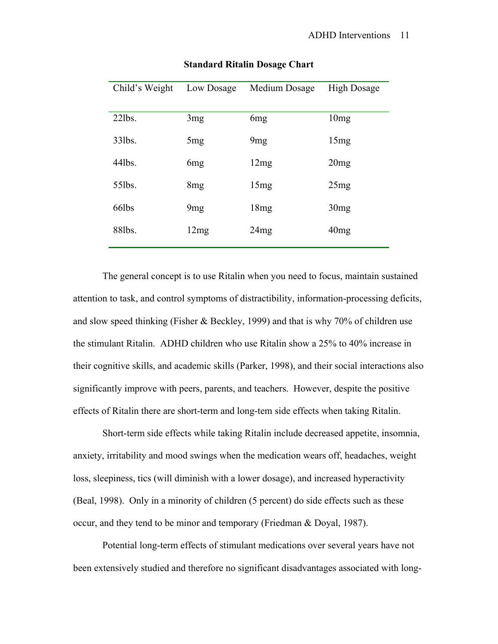| Child's Weight | Low Dosage      | Medium Dosage   | <b>High Dosage</b> |
|----------------|-----------------|-----------------|--------------------|
| $22$ lbs.      | 3mg             | 6 <sub>mg</sub> | 10mg               |
| $33$ lbs.      | 5mg             | 9mg             | 15mg               |
| $44$ lbs.      | 6 <sub>mg</sub> | 12mg            | 20mg               |
| 55lbs.         | 8mg             | 15mg            | 25mg               |
| 66lbs          | 9mg             | 18mg            | 30mg               |
| 88lbs.         | 12mg            | 24mg            | 40mg               |

#### **Standard Ritalin Dosage Chart**

 The general concept is to use Ritalin when you need to focus, maintain sustained attention to task, and control symptoms of distractibility, information-processing deficits, and slow speed thinking (Fisher & Beckley, 1999) and that is why 70% of children use the stimulant Ritalin. ADHD children who use Ritalin show a 25% to 40% increase in their cognitive skills, and academic skills (Parker, 1998), and their social interactions also significantly improve with peers, parents, and teachers. However, despite the positive effects of Ritalin there are short-term and long-tem side effects when taking Ritalin.

 Short-term side effects while taking Ritalin include decreased appetite, insomnia, anxiety, irritability and mood swings when the medication wears off, headaches, weight loss, sleepiness, tics (will diminish with a lower dosage), and increased hyperactivity (Beal, 1998). Only in a minority of children (5 percent) do side effects such as these occur, and they tend to be minor and temporary (Friedman & Doyal, 1987).

 Potential long-term effects of stimulant medications over several years have not been extensively studied and therefore no significant disadvantages associated with long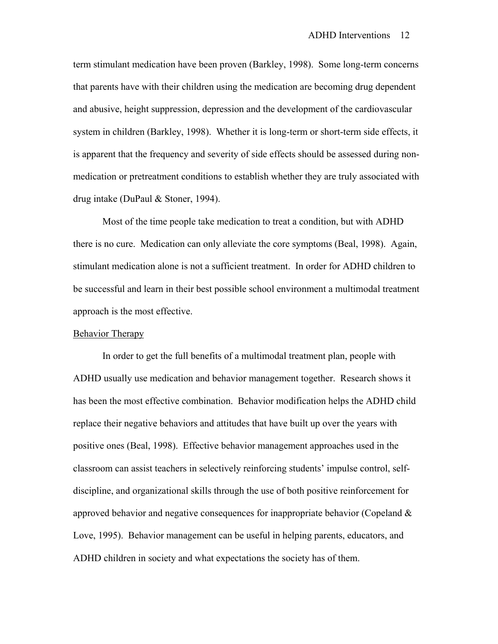term stimulant medication have been proven (Barkley, 1998). Some long-term concerns that parents have with their children using the medication are becoming drug dependent and abusive, height suppression, depression and the development of the cardiovascular system in children (Barkley, 1998). Whether it is long-term or short-term side effects, it is apparent that the frequency and severity of side effects should be assessed during nonmedication or pretreatment conditions to establish whether they are truly associated with drug intake (DuPaul & Stoner, 1994).

 Most of the time people take medication to treat a condition, but with ADHD there is no cure. Medication can only alleviate the core symptoms (Beal, 1998). Again, stimulant medication alone is not a sufficient treatment. In order for ADHD children to be successful and learn in their best possible school environment a multimodal treatment approach is the most effective.

## Behavior Therapy

 In order to get the full benefits of a multimodal treatment plan, people with ADHD usually use medication and behavior management together. Research shows it has been the most effective combination. Behavior modification helps the ADHD child replace their negative behaviors and attitudes that have built up over the years with positive ones (Beal, 1998). Effective behavior management approaches used in the classroom can assist teachers in selectively reinforcing students' impulse control, selfdiscipline, and organizational skills through the use of both positive reinforcement for approved behavior and negative consequences for inappropriate behavior (Copeland  $\&$ Love, 1995). Behavior management can be useful in helping parents, educators, and ADHD children in society and what expectations the society has of them.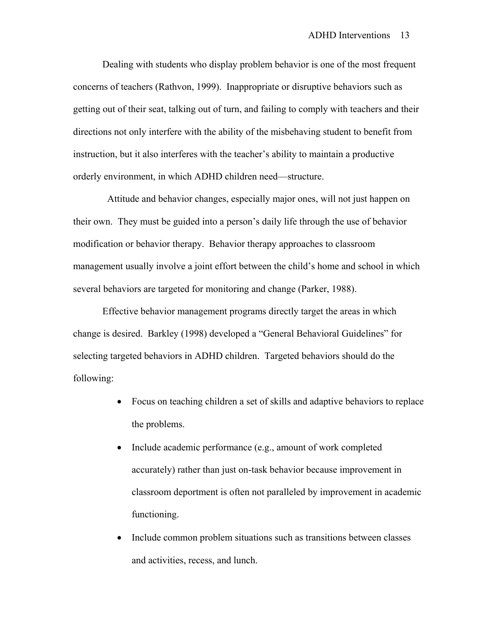Dealing with students who display problem behavior is one of the most frequent concerns of teachers (Rathvon, 1999). Inappropriate or disruptive behaviors such as getting out of their seat, talking out of turn, and failing to comply with teachers and their directions not only interfere with the ability of the misbehaving student to benefit from instruction, but it also interferes with the teacher's ability to maintain a productive orderly environment, in which ADHD children need—structure.

 Attitude and behavior changes, especially major ones, will not just happen on their own. They must be guided into a person's daily life through the use of behavior modification or behavior therapy. Behavior therapy approaches to classroom management usually involve a joint effort between the child's home and school in which several behaviors are targeted for monitoring and change (Parker, 1988).

 Effective behavior management programs directly target the areas in which change is desired. Barkley (1998) developed a "General Behavioral Guidelines" for selecting targeted behaviors in ADHD children. Targeted behaviors should do the following:

- Focus on teaching children a set of skills and adaptive behaviors to replace the problems.
- Include academic performance (e.g., amount of work completed accurately) rather than just on-task behavior because improvement in classroom deportment is often not paralleled by improvement in academic functioning.
- Include common problem situations such as transitions between classes and activities, recess, and lunch.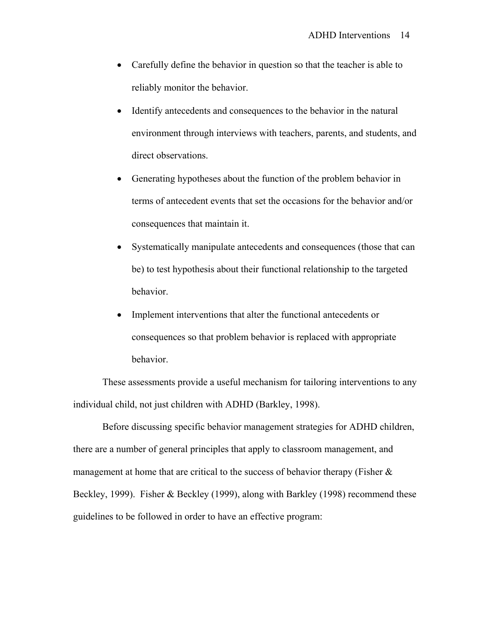- Carefully define the behavior in question so that the teacher is able to reliably monitor the behavior.
- Identify antecedents and consequences to the behavior in the natural environment through interviews with teachers, parents, and students, and direct observations.
- Generating hypotheses about the function of the problem behavior in terms of antecedent events that set the occasions for the behavior and/or consequences that maintain it.
- Systematically manipulate antecedents and consequences (those that can be) to test hypothesis about their functional relationship to the targeted behavior.
- Implement interventions that alter the functional antecedents or consequences so that problem behavior is replaced with appropriate behavior.

These assessments provide a useful mechanism for tailoring interventions to any individual child, not just children with ADHD (Barkley, 1998).

 Before discussing specific behavior management strategies for ADHD children, there are a number of general principles that apply to classroom management, and management at home that are critical to the success of behavior therapy (Fisher  $\&$ Beckley, 1999). Fisher & Beckley (1999), along with Barkley (1998) recommend these guidelines to be followed in order to have an effective program: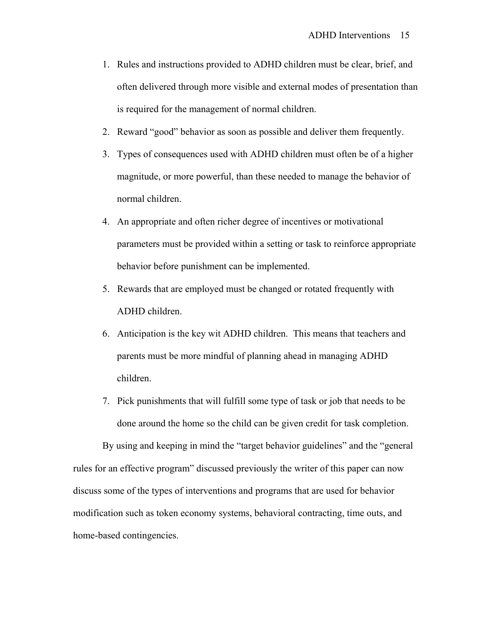- 1. Rules and instructions provided to ADHD children must be clear, brief, and often delivered through more visible and external modes of presentation than is required for the management of normal children.
- 2. Reward "good" behavior as soon as possible and deliver them frequently.
- 3. Types of consequences used with ADHD children must often be of a higher magnitude, or more powerful, than these needed to manage the behavior of normal children.
- 4. An appropriate and often richer degree of incentives or motivational parameters must be provided within a setting or task to reinforce appropriate behavior before punishment can be implemented.
- 5. Rewards that are employed must be changed or rotated frequently with ADHD children.
- 6. Anticipation is the key wit ADHD children. This means that teachers and parents must be more mindful of planning ahead in managing ADHD children.
- 7. Pick punishments that will fulfill some type of task or job that needs to be done around the home so the child can be given credit for task completion.

 By using and keeping in mind the "target behavior guidelines" and the "general rules for an effective program" discussed previously the writer of this paper can now discuss some of the types of interventions and programs that are used for behavior modification such as token economy systems, behavioral contracting, time outs, and home-based contingencies.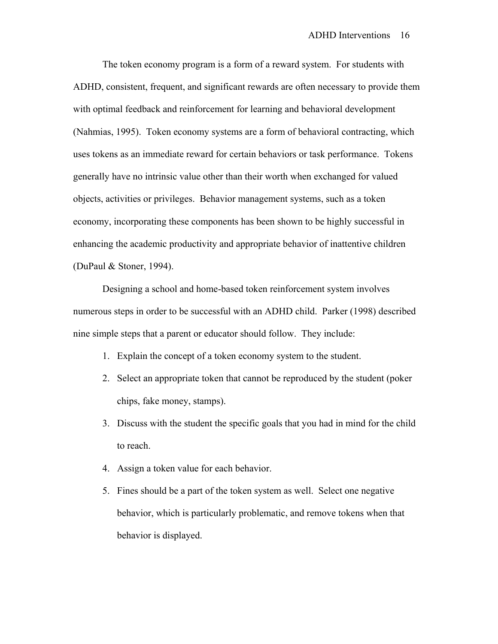The token economy program is a form of a reward system. For students with ADHD, consistent, frequent, and significant rewards are often necessary to provide them with optimal feedback and reinforcement for learning and behavioral development (Nahmias, 1995). Token economy systems are a form of behavioral contracting, which uses tokens as an immediate reward for certain behaviors or task performance. Tokens generally have no intrinsic value other than their worth when exchanged for valued objects, activities or privileges. Behavior management systems, such as a token economy, incorporating these components has been shown to be highly successful in enhancing the academic productivity and appropriate behavior of inattentive children (DuPaul & Stoner, 1994).

 Designing a school and home-based token reinforcement system involves numerous steps in order to be successful with an ADHD child. Parker (1998) described nine simple steps that a parent or educator should follow. They include:

- 1. Explain the concept of a token economy system to the student.
- 2. Select an appropriate token that cannot be reproduced by the student (poker chips, fake money, stamps).
- 3. Discuss with the student the specific goals that you had in mind for the child to reach.
- 4. Assign a token value for each behavior.
- 5. Fines should be a part of the token system as well. Select one negative behavior, which is particularly problematic, and remove tokens when that behavior is displayed.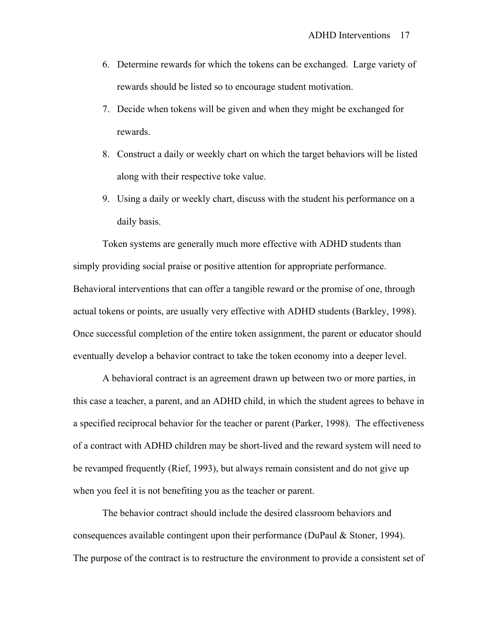- 6. Determine rewards for which the tokens can be exchanged. Large variety of rewards should be listed so to encourage student motivation.
- 7. Decide when tokens will be given and when they might be exchanged for rewards.
- 8. Construct a daily or weekly chart on which the target behaviors will be listed along with their respective toke value.
- 9. Using a daily or weekly chart, discuss with the student his performance on a daily basis.

Token systems are generally much more effective with ADHD students than simply providing social praise or positive attention for appropriate performance. Behavioral interventions that can offer a tangible reward or the promise of one, through actual tokens or points, are usually very effective with ADHD students (Barkley, 1998). Once successful completion of the entire token assignment, the parent or educator should eventually develop a behavior contract to take the token economy into a deeper level.

 A behavioral contract is an agreement drawn up between two or more parties, in this case a teacher, a parent, and an ADHD child, in which the student agrees to behave in a specified reciprocal behavior for the teacher or parent (Parker, 1998). The effectiveness of a contract with ADHD children may be short-lived and the reward system will need to be revamped frequently (Rief, 1993), but always remain consistent and do not give up when you feel it is not benefiting you as the teacher or parent.

 The behavior contract should include the desired classroom behaviors and consequences available contingent upon their performance (DuPaul & Stoner, 1994). The purpose of the contract is to restructure the environment to provide a consistent set of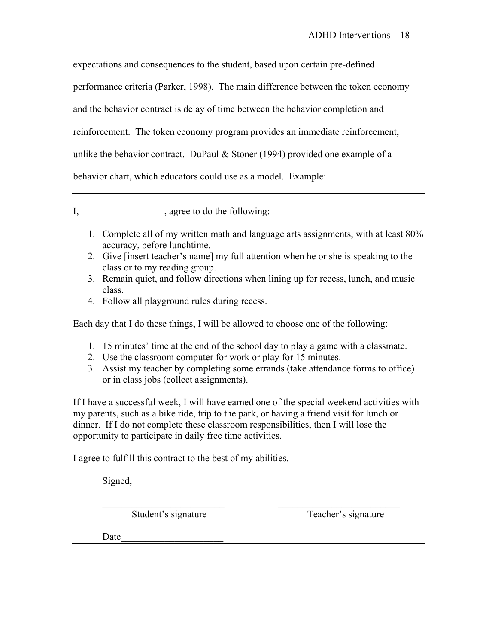expectations and consequences to the student, based upon certain pre-defined performance criteria (Parker, 1998). The main difference between the token economy and the behavior contract is delay of time between the behavior completion and reinforcement. The token economy program provides an immediate reinforcement, unlike the behavior contract. DuPaul  $&$  Stoner (1994) provided one example of a behavior chart, which educators could use as a model. Example:

I, \_\_\_\_\_\_\_\_\_\_\_\_\_\_\_\_\_\_\_\_\_\_, agree to do the following:

- 1. Complete all of my written math and language arts assignments, with at least 80% accuracy, before lunchtime.
- 2. Give [insert teacher's name] my full attention when he or she is speaking to the class or to my reading group.
- 3. Remain quiet, and follow directions when lining up for recess, lunch, and music class.
- 4. Follow all playground rules during recess.

Each day that I do these things, I will be allowed to choose one of the following:

- 1. 15 minutes' time at the end of the school day to play a game with a classmate.
- 2. Use the classroom computer for work or play for 15 minutes.
- 3. Assist my teacher by completing some errands (take attendance forms to office) or in class jobs (collect assignments).

If I have a successful week, I will have earned one of the special weekend activities with my parents, such as a bike ride, trip to the park, or having a friend visit for lunch or dinner. If I do not complete these classroom responsibilities, then I will lose the opportunity to participate in daily free time activities.

 $\mathcal{L}_\text{max} = \frac{1}{2} \sum_{i=1}^{n} \frac{1}{2} \sum_{i=1}^{n} \frac{1}{2} \sum_{i=1}^{n} \frac{1}{2} \sum_{i=1}^{n} \frac{1}{2} \sum_{i=1}^{n} \frac{1}{2} \sum_{i=1}^{n} \frac{1}{2} \sum_{i=1}^{n} \frac{1}{2} \sum_{i=1}^{n} \frac{1}{2} \sum_{i=1}^{n} \frac{1}{2} \sum_{i=1}^{n} \frac{1}{2} \sum_{i=1}^{n} \frac{1}{2} \sum_{i=1}^{n} \frac{1$ 

I agree to fulfill this contract to the best of my abilities.

Signed,

Student's signature Teacher's signature

Date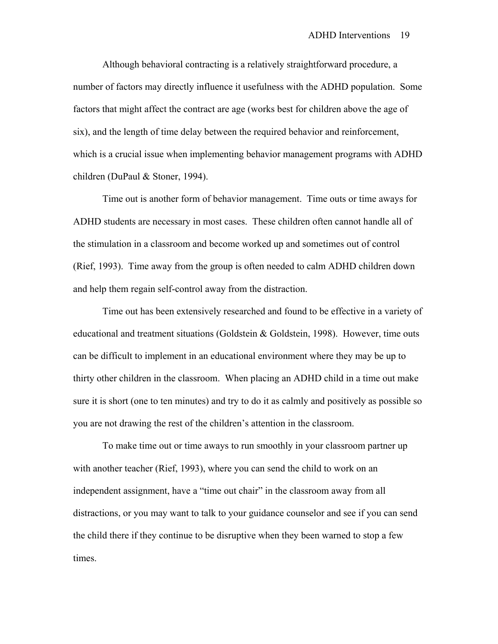Although behavioral contracting is a relatively straightforward procedure, a number of factors may directly influence it usefulness with the ADHD population. Some factors that might affect the contract are age (works best for children above the age of six), and the length of time delay between the required behavior and reinforcement, which is a crucial issue when implementing behavior management programs with ADHD children (DuPaul & Stoner, 1994).

 Time out is another form of behavior management. Time outs or time aways for ADHD students are necessary in most cases. These children often cannot handle all of the stimulation in a classroom and become worked up and sometimes out of control (Rief, 1993). Time away from the group is often needed to calm ADHD children down and help them regain self-control away from the distraction.

 Time out has been extensively researched and found to be effective in a variety of educational and treatment situations (Goldstein & Goldstein, 1998). However, time outs can be difficult to implement in an educational environment where they may be up to thirty other children in the classroom. When placing an ADHD child in a time out make sure it is short (one to ten minutes) and try to do it as calmly and positively as possible so you are not drawing the rest of the children's attention in the classroom.

 To make time out or time aways to run smoothly in your classroom partner up with another teacher (Rief, 1993), where you can send the child to work on an independent assignment, have a "time out chair" in the classroom away from all distractions, or you may want to talk to your guidance counselor and see if you can send the child there if they continue to be disruptive when they been warned to stop a few times.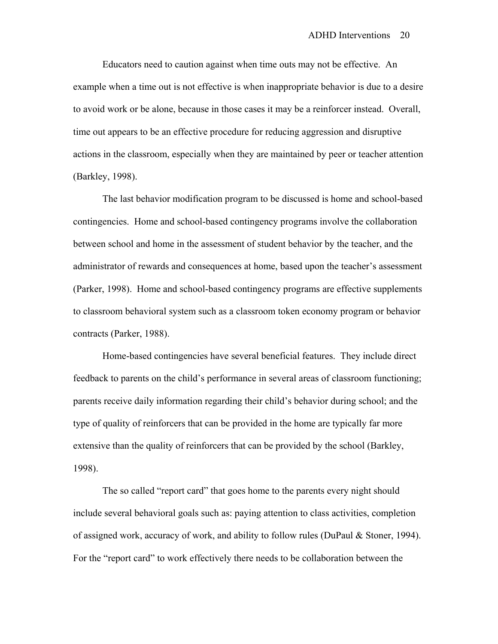Educators need to caution against when time outs may not be effective. An example when a time out is not effective is when inappropriate behavior is due to a desire to avoid work or be alone, because in those cases it may be a reinforcer instead. Overall, time out appears to be an effective procedure for reducing aggression and disruptive actions in the classroom, especially when they are maintained by peer or teacher attention (Barkley, 1998).

 The last behavior modification program to be discussed is home and school-based contingencies. Home and school-based contingency programs involve the collaboration between school and home in the assessment of student behavior by the teacher, and the administrator of rewards and consequences at home, based upon the teacher's assessment (Parker, 1998). Home and school-based contingency programs are effective supplements to classroom behavioral system such as a classroom token economy program or behavior contracts (Parker, 1988).

 Home-based contingencies have several beneficial features. They include direct feedback to parents on the child's performance in several areas of classroom functioning; parents receive daily information regarding their child's behavior during school; and the type of quality of reinforcers that can be provided in the home are typically far more extensive than the quality of reinforcers that can be provided by the school (Barkley, 1998).

 The so called "report card" that goes home to the parents every night should include several behavioral goals such as: paying attention to class activities, completion of assigned work, accuracy of work, and ability to follow rules (DuPaul & Stoner, 1994). For the "report card" to work effectively there needs to be collaboration between the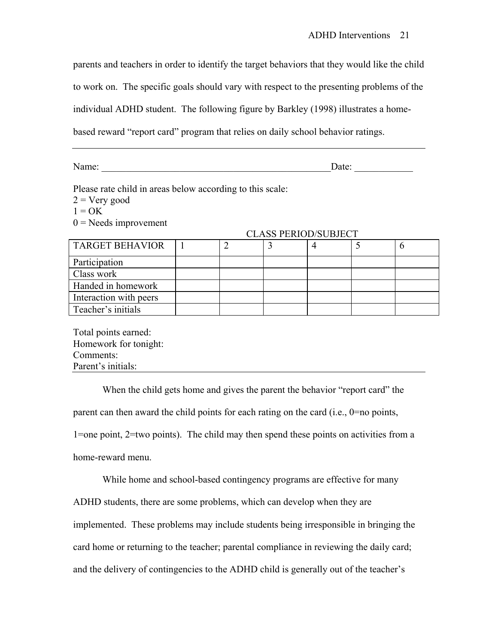parents and teachers in order to identify the target behaviors that they would like the child

to work on. The specific goals should vary with respect to the presenting problems of the

individual ADHD student. The following figure by Barkley (1998) illustrates a home-

based reward "report card" program that relies on daily school behavior ratings.

Name:  $\Box$ 

Please rate child in areas below according to this scale:

 $2 = V$ ery good

 $1 = OK$ 

 $0 =$ Needs improvement

| <b>TARGET BEHAVIOR</b> |  |  |  |
|------------------------|--|--|--|
| Participation          |  |  |  |
| Class work             |  |  |  |
| Handed in homework     |  |  |  |
| Interaction with peers |  |  |  |
| Teacher's initials     |  |  |  |

# CLASS PERIOD/SUBJECT

Total points earned: Homework for tonight: Comments: Parent's initials:

 When the child gets home and gives the parent the behavior "report card" the parent can then award the child points for each rating on the card (i.e., 0=no points, 1=one point, 2=two points). The child may then spend these points on activities from a home-reward menu.

 While home and school-based contingency programs are effective for many ADHD students, there are some problems, which can develop when they are implemented. These problems may include students being irresponsible in bringing the card home or returning to the teacher; parental compliance in reviewing the daily card; and the delivery of contingencies to the ADHD child is generally out of the teacher's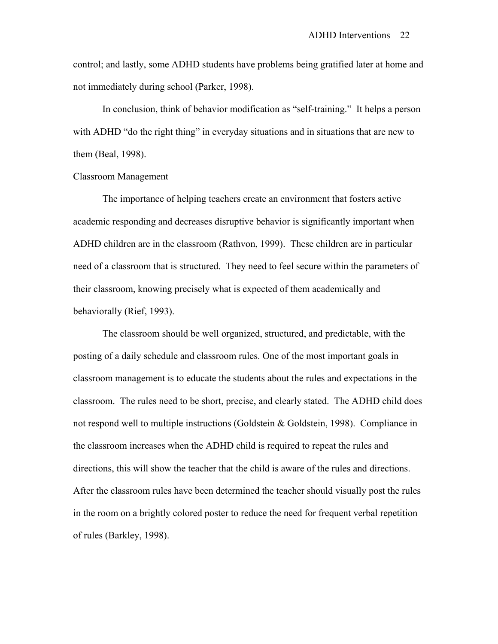control; and lastly, some ADHD students have problems being gratified later at home and not immediately during school (Parker, 1998).

 In conclusion, think of behavior modification as "self-training." It helps a person with ADHD "do the right thing" in everyday situations and in situations that are new to them (Beal, 1998).

#### Classroom Management

 The importance of helping teachers create an environment that fosters active academic responding and decreases disruptive behavior is significantly important when ADHD children are in the classroom (Rathvon, 1999). These children are in particular need of a classroom that is structured. They need to feel secure within the parameters of their classroom, knowing precisely what is expected of them academically and behaviorally (Rief, 1993).

 The classroom should be well organized, structured, and predictable, with the posting of a daily schedule and classroom rules. One of the most important goals in classroom management is to educate the students about the rules and expectations in the classroom. The rules need to be short, precise, and clearly stated. The ADHD child does not respond well to multiple instructions (Goldstein & Goldstein, 1998). Compliance in the classroom increases when the ADHD child is required to repeat the rules and directions, this will show the teacher that the child is aware of the rules and directions. After the classroom rules have been determined the teacher should visually post the rules in the room on a brightly colored poster to reduce the need for frequent verbal repetition of rules (Barkley, 1998).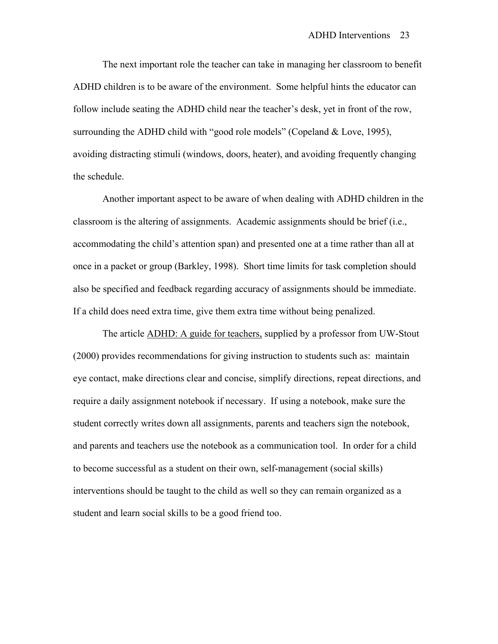The next important role the teacher can take in managing her classroom to benefit ADHD children is to be aware of the environment. Some helpful hints the educator can follow include seating the ADHD child near the teacher's desk, yet in front of the row, surrounding the ADHD child with "good role models" (Copeland & Love, 1995), avoiding distracting stimuli (windows, doors, heater), and avoiding frequently changing the schedule.

 Another important aspect to be aware of when dealing with ADHD children in the classroom is the altering of assignments. Academic assignments should be brief (i.e., accommodating the child's attention span) and presented one at a time rather than all at once in a packet or group (Barkley, 1998). Short time limits for task completion should also be specified and feedback regarding accuracy of assignments should be immediate. If a child does need extra time, give them extra time without being penalized.

 The article ADHD: A guide for teachers, supplied by a professor from UW-Stout (2000) provides recommendations for giving instruction to students such as: maintain eye contact, make directions clear and concise, simplify directions, repeat directions, and require a daily assignment notebook if necessary. If using a notebook, make sure the student correctly writes down all assignments, parents and teachers sign the notebook, and parents and teachers use the notebook as a communication tool. In order for a child to become successful as a student on their own, self-management (social skills) interventions should be taught to the child as well so they can remain organized as a student and learn social skills to be a good friend too.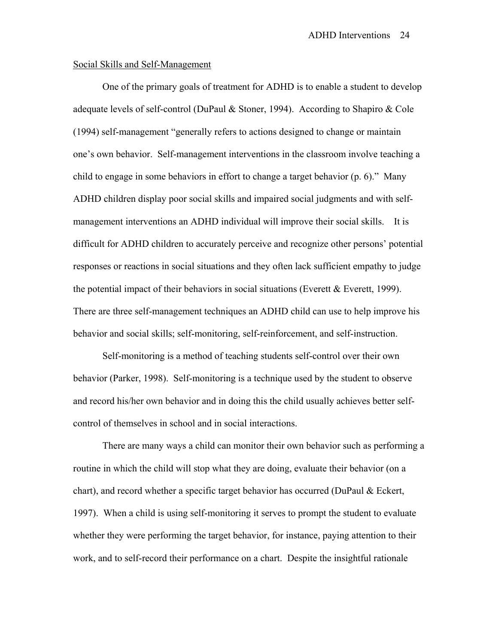#### Social Skills and Self-Management

 One of the primary goals of treatment for ADHD is to enable a student to develop adequate levels of self-control (DuPaul & Stoner, 1994). According to Shapiro & Cole (1994) self-management "generally refers to actions designed to change or maintain one's own behavior. Self-management interventions in the classroom involve teaching a child to engage in some behaviors in effort to change a target behavior (p. 6)." Many ADHD children display poor social skills and impaired social judgments and with selfmanagement interventions an ADHD individual will improve their social skills. It is difficult for ADHD children to accurately perceive and recognize other persons' potential responses or reactions in social situations and they often lack sufficient empathy to judge the potential impact of their behaviors in social situations (Everett  $&$  Everett, 1999). There are three self-management techniques an ADHD child can use to help improve his behavior and social skills; self-monitoring, self-reinforcement, and self-instruction.

 Self-monitoring is a method of teaching students self-control over their own behavior (Parker, 1998). Self-monitoring is a technique used by the student to observe and record his/her own behavior and in doing this the child usually achieves better selfcontrol of themselves in school and in social interactions.

 There are many ways a child can monitor their own behavior such as performing a routine in which the child will stop what they are doing, evaluate their behavior (on a chart), and record whether a specific target behavior has occurred (DuPaul & Eckert, 1997). When a child is using self-monitoring it serves to prompt the student to evaluate whether they were performing the target behavior, for instance, paying attention to their work, and to self-record their performance on a chart. Despite the insightful rationale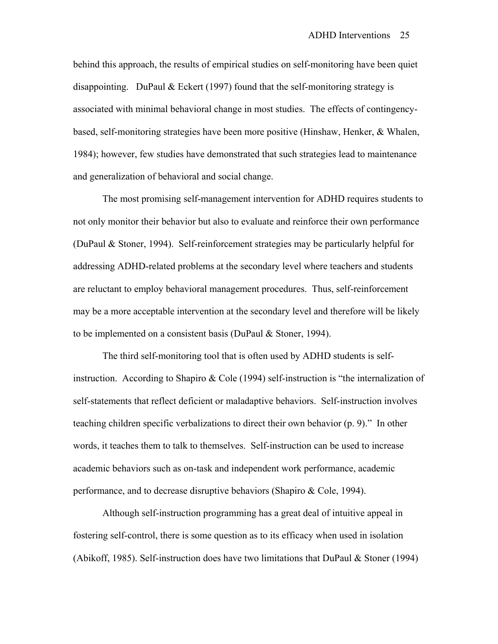behind this approach, the results of empirical studies on self-monitoring have been quiet disappointing. DuPaul  $& E$ ckert (1997) found that the self-monitoring strategy is associated with minimal behavioral change in most studies. The effects of contingencybased, self-monitoring strategies have been more positive (Hinshaw, Henker, & Whalen, 1984); however, few studies have demonstrated that such strategies lead to maintenance and generalization of behavioral and social change.

 The most promising self-management intervention for ADHD requires students to not only monitor their behavior but also to evaluate and reinforce their own performance (DuPaul & Stoner, 1994). Self-reinforcement strategies may be particularly helpful for addressing ADHD-related problems at the secondary level where teachers and students are reluctant to employ behavioral management procedures. Thus, self-reinforcement may be a more acceptable intervention at the secondary level and therefore will be likely to be implemented on a consistent basis (DuPaul & Stoner, 1994).

 The third self-monitoring tool that is often used by ADHD students is selfinstruction. According to Shapiro & Cole (1994) self-instruction is "the internalization of self-statements that reflect deficient or maladaptive behaviors. Self-instruction involves teaching children specific verbalizations to direct their own behavior (p. 9)." In other words, it teaches them to talk to themselves. Self-instruction can be used to increase academic behaviors such as on-task and independent work performance, academic performance, and to decrease disruptive behaviors (Shapiro & Cole, 1994).

 Although self-instruction programming has a great deal of intuitive appeal in fostering self-control, there is some question as to its efficacy when used in isolation (Abikoff, 1985). Self-instruction does have two limitations that DuPaul  $&$  Stoner (1994)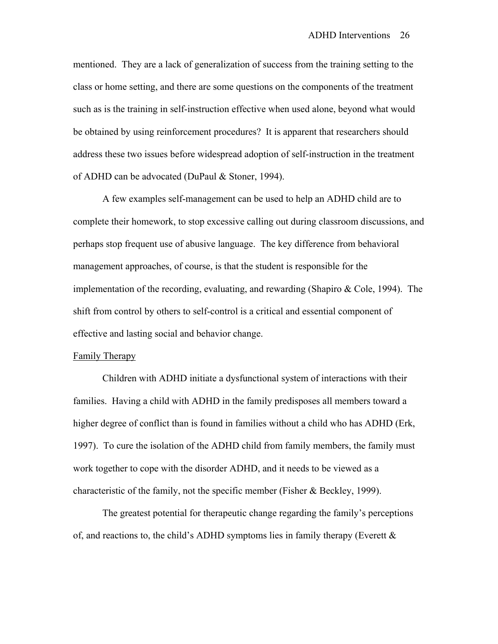mentioned. They are a lack of generalization of success from the training setting to the class or home setting, and there are some questions on the components of the treatment such as is the training in self-instruction effective when used alone, beyond what would be obtained by using reinforcement procedures? It is apparent that researchers should address these two issues before widespread adoption of self-instruction in the treatment of ADHD can be advocated (DuPaul & Stoner, 1994).

 A few examples self-management can be used to help an ADHD child are to complete their homework, to stop excessive calling out during classroom discussions, and perhaps stop frequent use of abusive language. The key difference from behavioral management approaches, of course, is that the student is responsible for the implementation of the recording, evaluating, and rewarding (Shapiro & Cole, 1994). The shift from control by others to self-control is a critical and essential component of effective and lasting social and behavior change.

#### Family Therapy

 Children with ADHD initiate a dysfunctional system of interactions with their families. Having a child with ADHD in the family predisposes all members toward a higher degree of conflict than is found in families without a child who has ADHD (Erk, 1997). To cure the isolation of the ADHD child from family members, the family must work together to cope with the disorder ADHD, and it needs to be viewed as a characteristic of the family, not the specific member (Fisher & Beckley, 1999).

 The greatest potential for therapeutic change regarding the family's perceptions of, and reactions to, the child's ADHD symptoms lies in family therapy (Everett  $\&$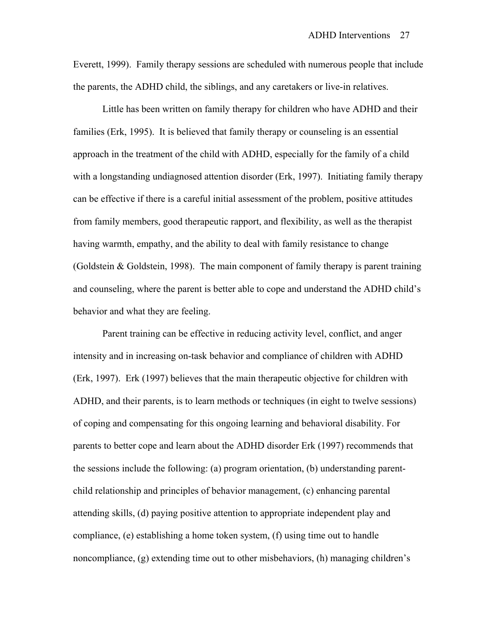Everett, 1999). Family therapy sessions are scheduled with numerous people that include the parents, the ADHD child, the siblings, and any caretakers or live-in relatives.

 Little has been written on family therapy for children who have ADHD and their families (Erk, 1995). It is believed that family therapy or counseling is an essential approach in the treatment of the child with ADHD, especially for the family of a child with a longstanding undiagnosed attention disorder (Erk, 1997). Initiating family therapy can be effective if there is a careful initial assessment of the problem, positive attitudes from family members, good therapeutic rapport, and flexibility, as well as the therapist having warmth, empathy, and the ability to deal with family resistance to change (Goldstein  $\&$  Goldstein, 1998). The main component of family therapy is parent training and counseling, where the parent is better able to cope and understand the ADHD child's behavior and what they are feeling.

 Parent training can be effective in reducing activity level, conflict, and anger intensity and in increasing on-task behavior and compliance of children with ADHD (Erk, 1997). Erk (1997) believes that the main therapeutic objective for children with ADHD, and their parents, is to learn methods or techniques (in eight to twelve sessions) of coping and compensating for this ongoing learning and behavioral disability. For parents to better cope and learn about the ADHD disorder Erk (1997) recommends that the sessions include the following: (a) program orientation, (b) understanding parentchild relationship and principles of behavior management, (c) enhancing parental attending skills, (d) paying positive attention to appropriate independent play and compliance, (e) establishing a home token system, (f) using time out to handle noncompliance, (g) extending time out to other misbehaviors, (h) managing children's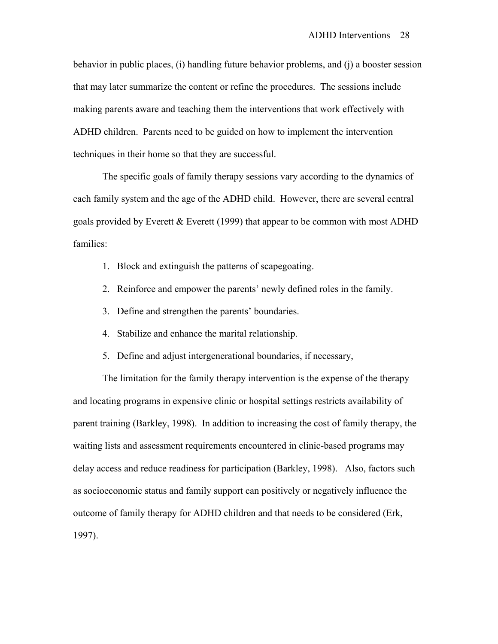behavior in public places, (i) handling future behavior problems, and (j) a booster session that may later summarize the content or refine the procedures. The sessions include making parents aware and teaching them the interventions that work effectively with ADHD children. Parents need to be guided on how to implement the intervention techniques in their home so that they are successful.

The specific goals of family therapy sessions vary according to the dynamics of each family system and the age of the ADHD child. However, there are several central goals provided by Everett & Everett (1999) that appear to be common with most ADHD families:

- 1. Block and extinguish the patterns of scapegoating.
- 2. Reinforce and empower the parents' newly defined roles in the family.
- 3. Define and strengthen the parents' boundaries.
- 4. Stabilize and enhance the marital relationship.
- 5. Define and adjust intergenerational boundaries, if necessary,

 The limitation for the family therapy intervention is the expense of the therapy and locating programs in expensive clinic or hospital settings restricts availability of parent training (Barkley, 1998). In addition to increasing the cost of family therapy, the waiting lists and assessment requirements encountered in clinic-based programs may delay access and reduce readiness for participation (Barkley, 1998). Also, factors such as socioeconomic status and family support can positively or negatively influence the outcome of family therapy for ADHD children and that needs to be considered (Erk, 1997).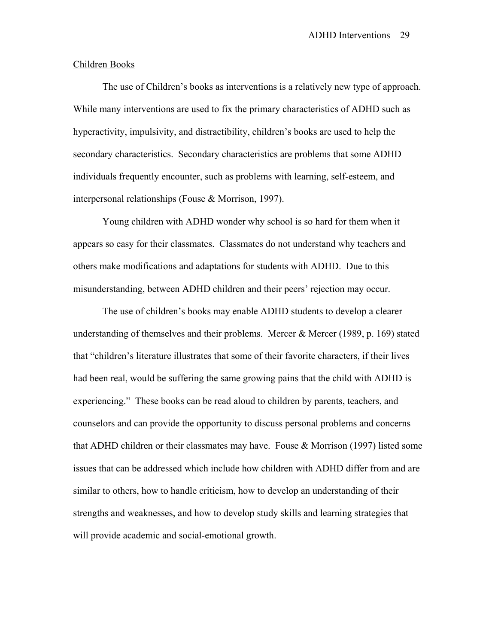## Children Books

 The use of Children's books as interventions is a relatively new type of approach. While many interventions are used to fix the primary characteristics of ADHD such as hyperactivity, impulsivity, and distractibility, children's books are used to help the secondary characteristics. Secondary characteristics are problems that some ADHD individuals frequently encounter, such as problems with learning, self-esteem, and interpersonal relationships (Fouse & Morrison, 1997).

 Young children with ADHD wonder why school is so hard for them when it appears so easy for their classmates. Classmates do not understand why teachers and others make modifications and adaptations for students with ADHD. Due to this misunderstanding, between ADHD children and their peers' rejection may occur.

 The use of children's books may enable ADHD students to develop a clearer understanding of themselves and their problems. Mercer  $&$  Mercer (1989, p. 169) stated that "children's literature illustrates that some of their favorite characters, if their lives had been real, would be suffering the same growing pains that the child with ADHD is experiencing." These books can be read aloud to children by parents, teachers, and counselors and can provide the opportunity to discuss personal problems and concerns that ADHD children or their classmates may have. Fouse & Morrison (1997) listed some issues that can be addressed which include how children with ADHD differ from and are similar to others, how to handle criticism, how to develop an understanding of their strengths and weaknesses, and how to develop study skills and learning strategies that will provide academic and social-emotional growth.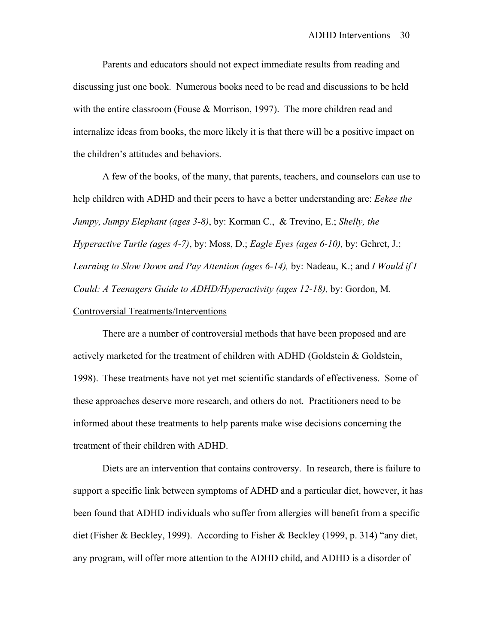Parents and educators should not expect immediate results from reading and discussing just one book. Numerous books need to be read and discussions to be held with the entire classroom (Fouse & Morrison, 1997). The more children read and internalize ideas from books, the more likely it is that there will be a positive impact on the children's attitudes and behaviors.

 A few of the books, of the many, that parents, teachers, and counselors can use to help children with ADHD and their peers to have a better understanding are: *Eekee the Jumpy, Jumpy Elephant (ages 3-8)*, by: Korman C., & Trevino, E.; *Shelly, the Hyperactive Turtle (ages 4-7)*, by: Moss, D.; *Eagle Eyes (ages 6-10),* by: Gehret, J.; *Learning to Slow Down and Pay Attention (ages 6-14),* by: Nadeau, K.; and *I Would if I Could: A Teenagers Guide to ADHD/Hyperactivity (ages 12-18),* by: Gordon, M. Controversial Treatments/Interventions

 There are a number of controversial methods that have been proposed and are actively marketed for the treatment of children with ADHD (Goldstein & Goldstein, 1998). These treatments have not yet met scientific standards of effectiveness. Some of these approaches deserve more research, and others do not. Practitioners need to be informed about these treatments to help parents make wise decisions concerning the treatment of their children with ADHD.

 Diets are an intervention that contains controversy. In research, there is failure to support a specific link between symptoms of ADHD and a particular diet, however, it has been found that ADHD individuals who suffer from allergies will benefit from a specific diet (Fisher & Beckley, 1999). According to Fisher & Beckley (1999, p. 314) "any diet, any program, will offer more attention to the ADHD child, and ADHD is a disorder of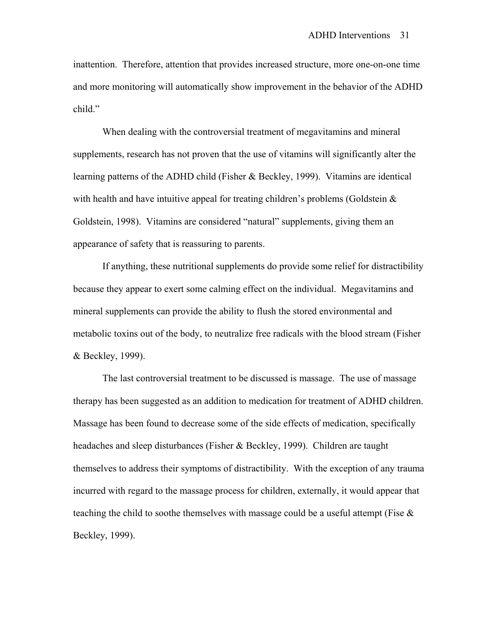inattention. Therefore, attention that provides increased structure, more one-on-one time and more monitoring will automatically show improvement in the behavior of the ADHD child."

 When dealing with the controversial treatment of megavitamins and mineral supplements, research has not proven that the use of vitamins will significantly alter the learning patterns of the ADHD child (Fisher & Beckley, 1999). Vitamins are identical with health and have intuitive appeal for treating children's problems (Goldstein  $\&$ Goldstein, 1998). Vitamins are considered "natural" supplements, giving them an appearance of safety that is reassuring to parents.

 If anything, these nutritional supplements do provide some relief for distractibility because they appear to exert some calming effect on the individual. Megavitamins and mineral supplements can provide the ability to flush the stored environmental and metabolic toxins out of the body, to neutralize free radicals with the blood stream (Fisher & Beckley, 1999).

 The last controversial treatment to be discussed is massage. The use of massage therapy has been suggested as an addition to medication for treatment of ADHD children. Massage has been found to decrease some of the side effects of medication, specifically headaches and sleep disturbances (Fisher & Beckley, 1999). Children are taught themselves to address their symptoms of distractibility. With the exception of any trauma incurred with regard to the massage process for children, externally, it would appear that teaching the child to soothe themselves with massage could be a useful attempt (Fise  $\&$ Beckley, 1999).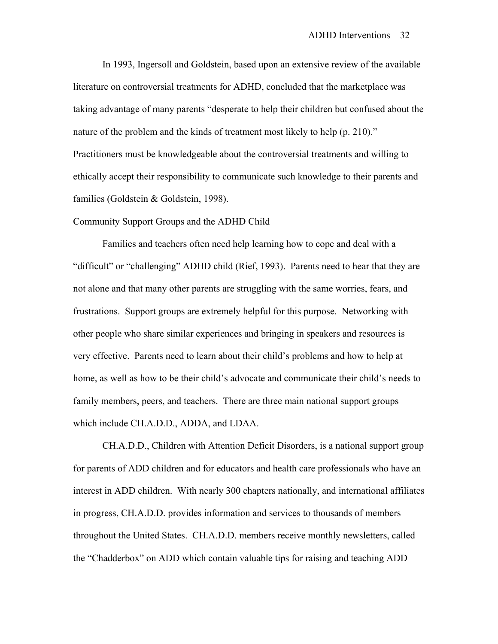In 1993, Ingersoll and Goldstein, based upon an extensive review of the available literature on controversial treatments for ADHD, concluded that the marketplace was taking advantage of many parents "desperate to help their children but confused about the nature of the problem and the kinds of treatment most likely to help (p. 210)." Practitioners must be knowledgeable about the controversial treatments and willing to ethically accept their responsibility to communicate such knowledge to their parents and families (Goldstein & Goldstein, 1998).

#### Community Support Groups and the ADHD Child

 Families and teachers often need help learning how to cope and deal with a "difficult" or "challenging" ADHD child (Rief, 1993). Parents need to hear that they are not alone and that many other parents are struggling with the same worries, fears, and frustrations. Support groups are extremely helpful for this purpose. Networking with other people who share similar experiences and bringing in speakers and resources is very effective. Parents need to learn about their child's problems and how to help at home, as well as how to be their child's advocate and communicate their child's needs to family members, peers, and teachers. There are three main national support groups which include CH.A.D.D., ADDA, and LDAA.

 CH.A.D.D., Children with Attention Deficit Disorders, is a national support group for parents of ADD children and for educators and health care professionals who have an interest in ADD children. With nearly 300 chapters nationally, and international affiliates in progress, CH.A.D.D. provides information and services to thousands of members throughout the United States. CH.A.D.D. members receive monthly newsletters, called the "Chadderbox" on ADD which contain valuable tips for raising and teaching ADD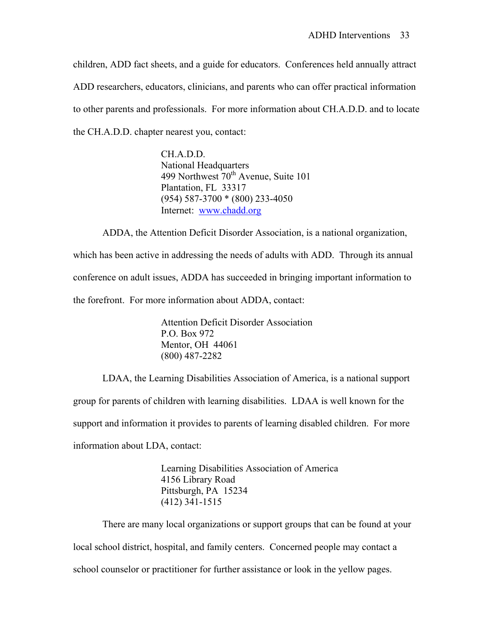children, ADD fact sheets, and a guide for educators. Conferences held annually attract ADD researchers, educators, clinicians, and parents who can offer practical information to other parents and professionals. For more information about CH.A.D.D. and to locate the CH.A.D.D. chapter nearest you, contact:

> CH.A.D.D. National Headquarters 499 Northwest 70<sup>th</sup> Avenue, Suite 101 Plantation, FL 33317 (954) 587-3700 \* (800) 233-4050 Internet: [www.chadd.org](http://www.chadd.org/)

 ADDA, the Attention Deficit Disorder Association, is a national organization, which has been active in addressing the needs of adults with ADD. Through its annual conference on adult issues, ADDA has succeeded in bringing important information to

the forefront. For more information about ADDA, contact:

 Attention Deficit Disorder Association P.O. Box 972 Mentor, OH 44061 (800) 487-2282

LDAA, the Learning Disabilities Association of America, is a national support group for parents of children with learning disabilities. LDAA is well known for the support and information it provides to parents of learning disabled children. For more information about LDA, contact:

> Learning Disabilities Association of America 4156 Library Road Pittsburgh, PA 15234 (412) 341-1515

 There are many local organizations or support groups that can be found at your local school district, hospital, and family centers. Concerned people may contact a school counselor or practitioner for further assistance or look in the yellow pages.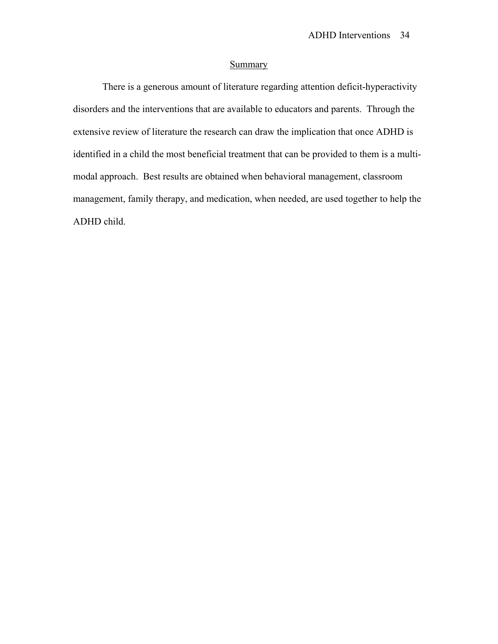# **Summary**

 There is a generous amount of literature regarding attention deficit-hyperactivity disorders and the interventions that are available to educators and parents. Through the extensive review of literature the research can draw the implication that once ADHD is identified in a child the most beneficial treatment that can be provided to them is a multimodal approach. Best results are obtained when behavioral management, classroom management, family therapy, and medication, when needed, are used together to help the ADHD child.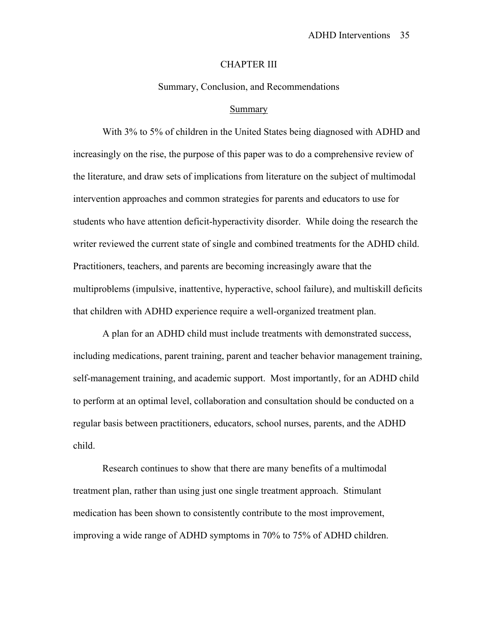#### CHAPTER III

Summary, Conclusion, and Recommendations

#### Summary

With 3% to 5% of children in the United States being diagnosed with ADHD and increasingly on the rise, the purpose of this paper was to do a comprehensive review of the literature, and draw sets of implications from literature on the subject of multimodal intervention approaches and common strategies for parents and educators to use for students who have attention deficit-hyperactivity disorder. While doing the research the writer reviewed the current state of single and combined treatments for the ADHD child. Practitioners, teachers, and parents are becoming increasingly aware that the multiproblems (impulsive, inattentive, hyperactive, school failure), and multiskill deficits that children with ADHD experience require a well-organized treatment plan.

 A plan for an ADHD child must include treatments with demonstrated success, including medications, parent training, parent and teacher behavior management training, self-management training, and academic support. Most importantly, for an ADHD child to perform at an optimal level, collaboration and consultation should be conducted on a regular basis between practitioners, educators, school nurses, parents, and the ADHD child.

 Research continues to show that there are many benefits of a multimodal treatment plan, rather than using just one single treatment approach. Stimulant medication has been shown to consistently contribute to the most improvement, improving a wide range of ADHD symptoms in 70% to 75% of ADHD children.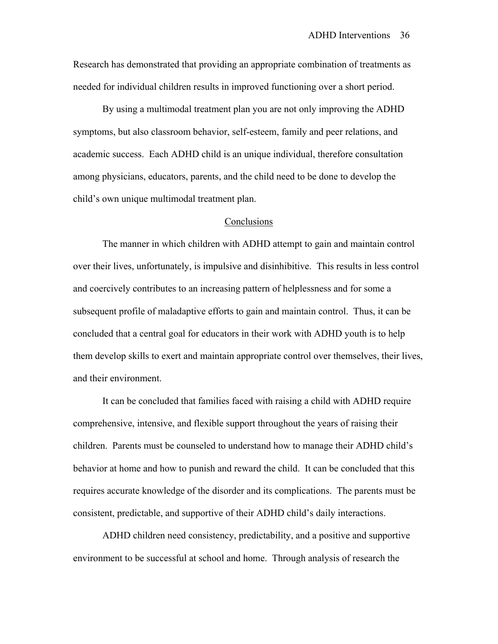Research has demonstrated that providing an appropriate combination of treatments as needed for individual children results in improved functioning over a short period.

 By using a multimodal treatment plan you are not only improving the ADHD symptoms, but also classroom behavior, self-esteem, family and peer relations, and academic success. Each ADHD child is an unique individual, therefore consultation among physicians, educators, parents, and the child need to be done to develop the child's own unique multimodal treatment plan.

#### **Conclusions**

 The manner in which children with ADHD attempt to gain and maintain control over their lives, unfortunately, is impulsive and disinhibitive. This results in less control and coercively contributes to an increasing pattern of helplessness and for some a subsequent profile of maladaptive efforts to gain and maintain control. Thus, it can be concluded that a central goal for educators in their work with ADHD youth is to help them develop skills to exert and maintain appropriate control over themselves, their lives, and their environment.

 It can be concluded that families faced with raising a child with ADHD require comprehensive, intensive, and flexible support throughout the years of raising their children. Parents must be counseled to understand how to manage their ADHD child's behavior at home and how to punish and reward the child. It can be concluded that this requires accurate knowledge of the disorder and its complications. The parents must be consistent, predictable, and supportive of their ADHD child's daily interactions.

 ADHD children need consistency, predictability, and a positive and supportive environment to be successful at school and home. Through analysis of research the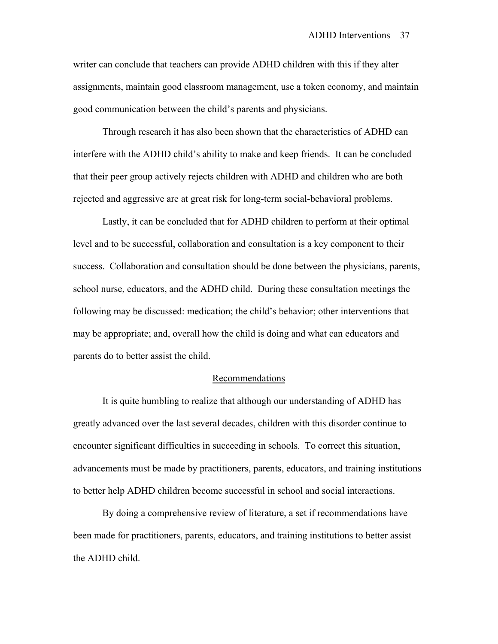writer can conclude that teachers can provide ADHD children with this if they alter assignments, maintain good classroom management, use a token economy, and maintain good communication between the child's parents and physicians.

 Through research it has also been shown that the characteristics of ADHD can interfere with the ADHD child's ability to make and keep friends. It can be concluded that their peer group actively rejects children with ADHD and children who are both rejected and aggressive are at great risk for long-term social-behavioral problems.

 Lastly, it can be concluded that for ADHD children to perform at their optimal level and to be successful, collaboration and consultation is a key component to their success. Collaboration and consultation should be done between the physicians, parents, school nurse, educators, and the ADHD child. During these consultation meetings the following may be discussed: medication; the child's behavior; other interventions that may be appropriate; and, overall how the child is doing and what can educators and parents do to better assist the child.

## **Recommendations**

 It is quite humbling to realize that although our understanding of ADHD has greatly advanced over the last several decades, children with this disorder continue to encounter significant difficulties in succeeding in schools. To correct this situation, advancements must be made by practitioners, parents, educators, and training institutions to better help ADHD children become successful in school and social interactions.

 By doing a comprehensive review of literature, a set if recommendations have been made for practitioners, parents, educators, and training institutions to better assist the ADHD child.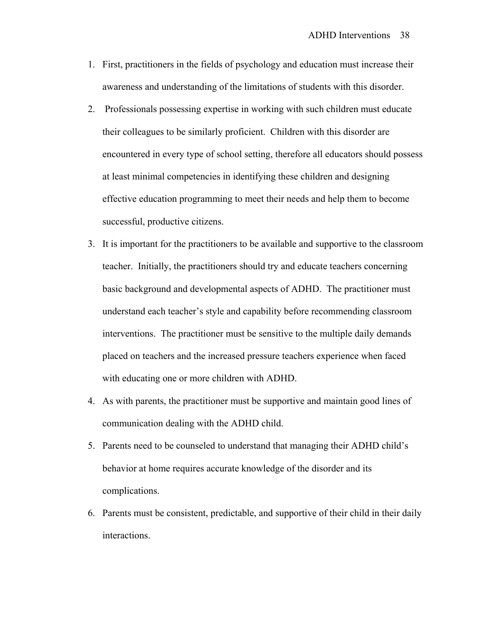- 1. First, practitioners in the fields of psychology and education must increase their awareness and understanding of the limitations of students with this disorder.
- 2. Professionals possessing expertise in working with such children must educate their colleagues to be similarly proficient. Children with this disorder are encountered in every type of school setting, therefore all educators should possess at least minimal competencies in identifying these children and designing effective education programming to meet their needs and help them to become successful, productive citizens.
- 3. It is important for the practitioners to be available and supportive to the classroom teacher. Initially, the practitioners should try and educate teachers concerning basic background and developmental aspects of ADHD. The practitioner must understand each teacher's style and capability before recommending classroom interventions. The practitioner must be sensitive to the multiple daily demands placed on teachers and the increased pressure teachers experience when faced with educating one or more children with ADHD.
- 4. As with parents, the practitioner must be supportive and maintain good lines of communication dealing with the ADHD child.
- 5. Parents need to be counseled to understand that managing their ADHD child's behavior at home requires accurate knowledge of the disorder and its complications.
- 6. Parents must be consistent, predictable, and supportive of their child in their daily interactions.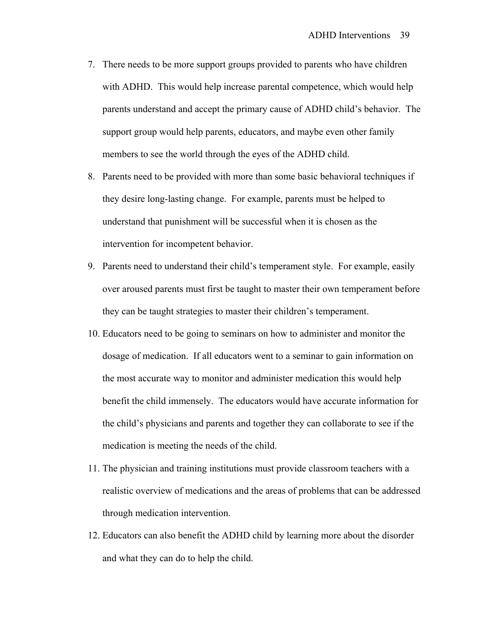- 7. There needs to be more support groups provided to parents who have children with ADHD. This would help increase parental competence, which would help parents understand and accept the primary cause of ADHD child's behavior. The support group would help parents, educators, and maybe even other family members to see the world through the eyes of the ADHD child.
- 8. Parents need to be provided with more than some basic behavioral techniques if they desire long-lasting change. For example, parents must be helped to understand that punishment will be successful when it is chosen as the intervention for incompetent behavior.
- 9. Parents need to understand their child's temperament style. For example, easily over aroused parents must first be taught to master their own temperament before they can be taught strategies to master their children's temperament.
- 10. Educators need to be going to seminars on how to administer and monitor the dosage of medication. If all educators went to a seminar to gain information on the most accurate way to monitor and administer medication this would help benefit the child immensely. The educators would have accurate information for the child's physicians and parents and together they can collaborate to see if the medication is meeting the needs of the child.
- 11. The physician and training institutions must provide classroom teachers with a realistic overview of medications and the areas of problems that can be addressed through medication intervention.
- 12. Educators can also benefit the ADHD child by learning more about the disorder and what they can do to help the child.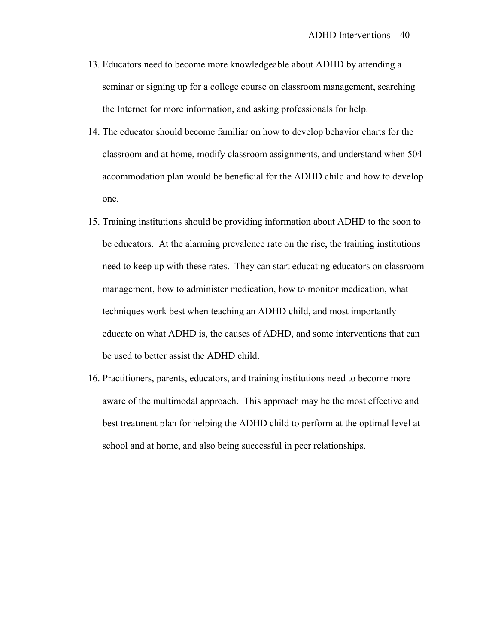- 13. Educators need to become more knowledgeable about ADHD by attending a seminar or signing up for a college course on classroom management, searching the Internet for more information, and asking professionals for help.
- 14. The educator should become familiar on how to develop behavior charts for the classroom and at home, modify classroom assignments, and understand when 504 accommodation plan would be beneficial for the ADHD child and how to develop one.
- 15. Training institutions should be providing information about ADHD to the soon to be educators. At the alarming prevalence rate on the rise, the training institutions need to keep up with these rates. They can start educating educators on classroom management, how to administer medication, how to monitor medication, what techniques work best when teaching an ADHD child, and most importantly educate on what ADHD is, the causes of ADHD, and some interventions that can be used to better assist the ADHD child.
- 16. Practitioners, parents, educators, and training institutions need to become more aware of the multimodal approach. This approach may be the most effective and best treatment plan for helping the ADHD child to perform at the optimal level at school and at home, and also being successful in peer relationships.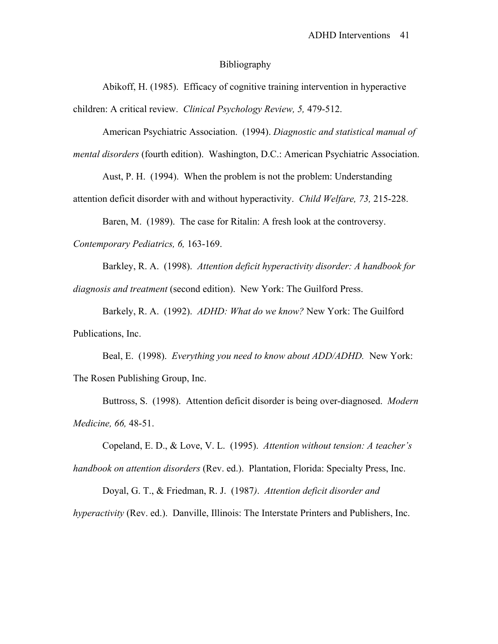#### Bibliography

 Abikoff, H. (1985). Efficacy of cognitive training intervention in hyperactive children: A critical review. *Clinical Psychology Review, 5,* 479-512.

 American Psychiatric Association. (1994). *Diagnostic and statistical manual of mental disorders* (fourth edition). Washington, D.C.: American Psychiatric Association.

Aust, P. H. (1994). When the problem is not the problem: Understanding attention deficit disorder with and without hyperactivity. *Child Welfare, 73,* 215-228.

 Baren, M. (1989). The case for Ritalin: A fresh look at the controversy. *Contemporary Pediatrics, 6,* 163-169.

 Barkley, R. A. (1998). *Attention deficit hyperactivity disorder: A handbook for diagnosis and treatment* (second edition). New York: The Guilford Press.

 Barkely, R. A. (1992). *ADHD: What do we know?* New York: The Guilford Publications, Inc.

 Beal, E. (1998). *Everything you need to know about ADD/ADHD.* New York: The Rosen Publishing Group, Inc.

 Buttross, S. (1998). Attention deficit disorder is being over-diagnosed. *Modern Medicine, 66,* 48-51.

 Copeland, E. D., & Love, V. L. (1995). *Attention without tension: A teacher's handbook on attention disorders* (Rev. ed.). Plantation, Florida: Specialty Press, Inc.

Doyal, G. T., & Friedman, R. J. (1987*)*. *Attention deficit disorder and* 

*hyperactivity* (Rev. ed.). Danville, Illinois: The Interstate Printers and Publishers, Inc.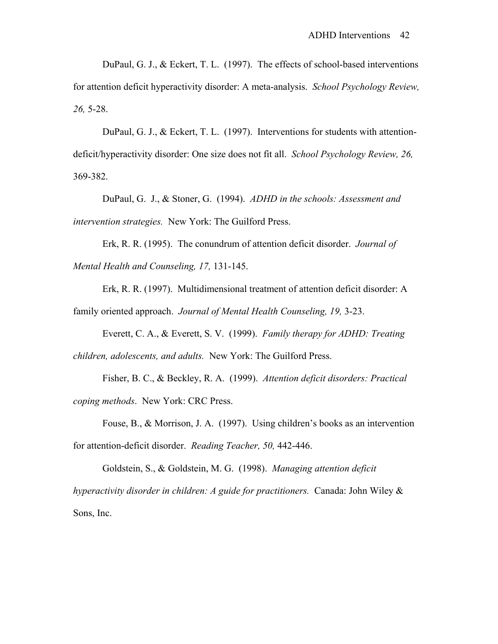DuPaul, G. J., & Eckert, T. L. (1997). The effects of school-based interventions for attention deficit hyperactivity disorder: A meta-analysis. *School Psychology Review, 26,* 5-28.

DuPaul, G. J., & Eckert, T. L. (1997). Interventions for students with attentiondeficit/hyperactivity disorder: One size does not fit all. *School Psychology Review, 26,* 369-382.

 DuPaul, G. J., & Stoner, G. (1994). *ADHD in the schools: Assessment and intervention strategies.* New York: The Guilford Press.

 Erk, R. R. (1995). The conundrum of attention deficit disorder. *Journal of Mental Health and Counseling, 17,* 131-145.

 Erk, R. R. (1997). Multidimensional treatment of attention deficit disorder: A family oriented approach. *Journal of Mental Health Counseling, 19,* 3-23.

 Everett, C. A., & Everett, S. V. (1999). *Family therapy for ADHD: Treating children, adolescents, and adults.* New York: The Guilford Press.

 Fisher, B. C., & Beckley, R. A. (1999). *Attention deficit disorders: Practical coping methods*. New York: CRC Press.

 Fouse, B., & Morrison, J. A. (1997). Using children's books as an intervention for attention-deficit disorder. *Reading Teacher, 50,* 442-446.

 Goldstein, S., & Goldstein, M. G. (1998). *Managing attention deficit hyperactivity disorder in children: A guide for practitioners.* Canada: John Wiley & Sons, Inc.